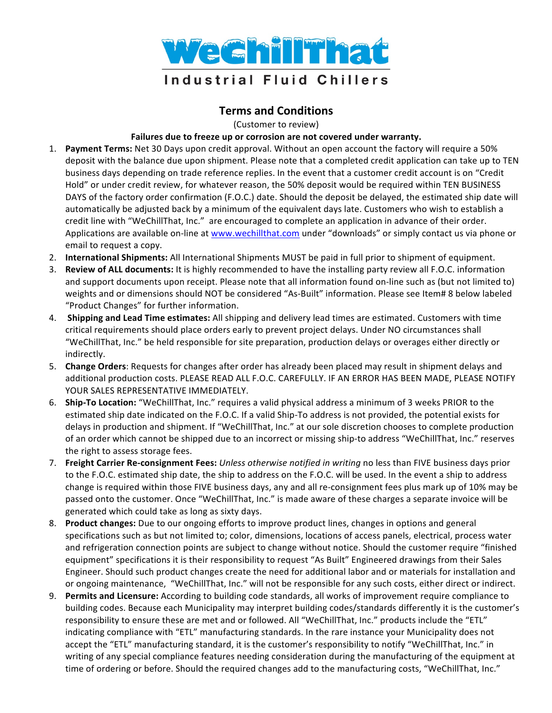

## **Terms and Conditions**

(Customer to review)

## Failures due to freeze up or corrosion are not covered under warranty.

- 1. Payment Terms: Net 30 Days upon credit approval. Without an open account the factory will require a 50% deposit with the balance due upon shipment. Please note that a completed credit application can take up to TEN business days depending on trade reference replies. In the event that a customer credit account is on "Credit Hold" or under credit review, for whatever reason, the 50% deposit would be required within TEN BUSINESS DAYS of the factory order confirmation (F.O.C.) date. Should the deposit be delayed, the estimated ship date will automatically be adjusted back by a minimum of the equivalent days late. Customers who wish to establish a credit line with "WeChillThat, Inc." are encouraged to complete an application in advance of their order. Applications are available on-line at www.wechillthat.com under "downloads" or simply contact us via phone or email to request a copy.
- 2. **International Shipments:** All International Shipments MUST be paid in full prior to shipment of equipment.
- 3. **Review of ALL documents:** It is highly recommended to have the installing party review all F.O.C. information and support documents upon receipt. Please note that all information found on-line such as (but not limited to) weights and or dimensions should NOT be considered "As-Built" information. Please see Item# 8 below labeled "Product Changes" for further information.
- 4. **Shipping and Lead Time estimates:** All shipping and delivery lead times are estimated. Customers with time critical requirements should place orders early to prevent project delays. Under NO circumstances shall "WeChillThat, Inc." be held responsible for site preparation, production delays or overages either directly or indirectly.
- 5. Change Orders: Requests for changes after order has already been placed may result in shipment delays and additional production costs. PLEASE READ ALL F.O.C. CAREFULLY. IF AN ERROR HAS BEEN MADE, PLEASE NOTIFY YOUR SALES REPRESENTATIVE IMMEDIATELY.
- 6. **Ship-To Location:** "WeChillThat, Inc." requires a valid physical address a minimum of 3 weeks PRIOR to the estimated ship date indicated on the F.O.C. If a valid Ship-To address is not provided, the potential exists for delays in production and shipment. If "WeChillThat, Inc." at our sole discretion chooses to complete production of an order which cannot be shipped due to an incorrect or missing ship-to address "WeChillThat, Inc." reserves the right to assess storage fees.
- 7. **Freight Carrier Re-consignment Fees:** *Unless otherwise notified in writing* no less than FIVE business days prior to the F.O.C. estimated ship date, the ship to address on the F.O.C. will be used. In the event a ship to address change is required within those FIVE business days, any and all re-consignment fees plus mark up of 10% may be passed onto the customer. Once "WeChillThat, Inc." is made aware of these charges a separate invoice will be generated which could take as long as sixty days.
- 8. **Product changes:** Due to our ongoing efforts to improve product lines, changes in options and general specifications such as but not limited to; color, dimensions, locations of access panels, electrical, process water and refrigeration connection points are subject to change without notice. Should the customer require "finished equipment" specifications it is their responsibility to request "As Built" Engineered drawings from their Sales Engineer. Should such product changes create the need for additional labor and or materials for installation and or ongoing maintenance, "WeChillThat, Inc." will not be responsible for any such costs, either direct or indirect.
- 9. Permits and Licensure: According to building code standards, all works of improvement require compliance to building codes. Because each Municipality may interpret building codes/standards differently it is the customer's responsibility to ensure these are met and or followed. All "WeChillThat, Inc." products include the "ETL" indicating compliance with "ETL" manufacturing standards. In the rare instance your Municipality does not accept the "ETL" manufacturing standard, it is the customer's responsibility to notify "WeChillThat, Inc." in writing of any special compliance features needing consideration during the manufacturing of the equipment at time of ordering or before. Should the required changes add to the manufacturing costs, "WeChillThat, Inc."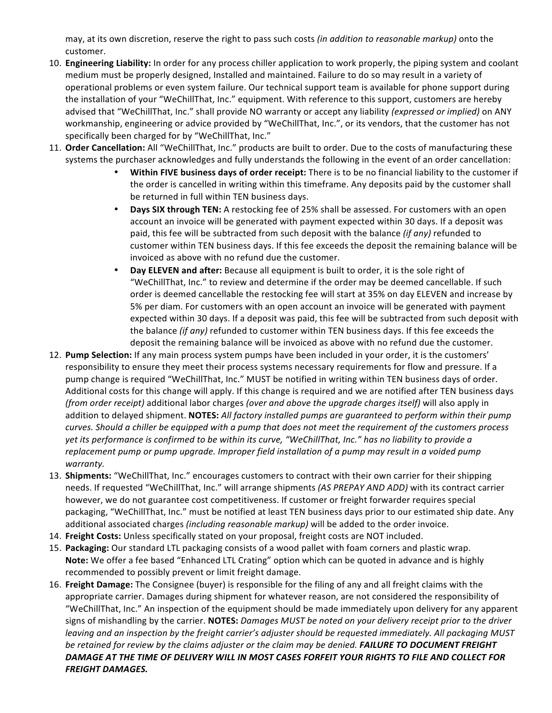may, at its own discretion, reserve the right to pass such costs *(in addition to reasonable markup)* onto the customer.

- 10. **Engineering Liability:** In order for any process chiller application to work properly, the piping system and coolant medium must be properly designed, Installed and maintained. Failure to do so may result in a variety of operational problems or even system failure. Our technical support team is available for phone support during the installation of your "WeChillThat, Inc." equipment. With reference to this support, customers are hereby advised that "WeChillThat, Inc." shall provide NO warranty or accept any liability (expressed or implied) on ANY workmanship, engineering or advice provided by "WeChillThat, Inc.", or its vendors, that the customer has not specifically been charged for by "WeChillThat, Inc."
- 11. Order Cancellation: All "WeChillThat, Inc." products are built to order. Due to the costs of manufacturing these systems the purchaser acknowledges and fully understands the following in the event of an order cancellation:
	- Within FIVE business days of order receipt: There is to be no financial liability to the customer if the order is cancelled in writing within this timeframe. Any deposits paid by the customer shall be returned in full within TEN business days.
	- **Days SIX through TEN:** A restocking fee of 25% shall be assessed. For customers with an open account an invoice will be generated with payment expected within 30 days. If a deposit was paid, this fee will be subtracted from such deposit with the balance *(if any)* refunded to customer within TEN business days. If this fee exceeds the deposit the remaining balance will be invoiced as above with no refund due the customer.
	- Day ELEVEN and after: Because all equipment is built to order, it is the sole right of "WeChillThat, Inc." to review and determine if the order may be deemed cancellable. If such order is deemed cancellable the restocking fee will start at 35% on day ELEVEN and increase by 5% per diam. For customers with an open account an invoice will be generated with payment expected within 30 days. If a deposit was paid, this fee will be subtracted from such deposit with the balance *(if any)* refunded to customer within TEN business days. If this fee exceeds the deposit the remaining balance will be invoiced as above with no refund due the customer.
- 12. **Pump Selection:** If any main process system pumps have been included in your order, it is the customers' responsibility to ensure they meet their process systems necessary requirements for flow and pressure. If a pump change is required "WeChillThat, Inc." MUST be notified in writing within TEN business days of order. Additional costs for this change will apply. If this change is required and we are notified after TEN business days *(from order receipt)* additional labor charges *(over and above the upgrade charges itself)* will also apply in addition to delayed shipment. **NOTES:** All factory installed pumps are guaranteed to perform within their pump *curves.* Should a chiller be equipped with a pump that does not meet the requirement of the customers process yet its performance is confirmed to be within its curve, "WeChillThat, Inc." has no liability to provide a replacement pump or pump upgrade. Improper field installation of a pump may result in a voided pump *warranty.*
- 13. **Shipments:** "WeChillThat, Inc." encourages customers to contract with their own carrier for their shipping needs. If requested "WeChillThat, Inc." will arrange shipments (AS PREPAY AND ADD) with its contract carrier however, we do not guarantee cost competitiveness. If customer or freight forwarder requires special packaging, "WeChillThat, Inc." must be notified at least TEN business days prior to our estimated ship date. Any additional associated charges *(including reasonable markup)* will be added to the order invoice.
- 14. Freight Costs: Unless specifically stated on your proposal, freight costs are NOT included.
- 15. Packaging: Our standard LTL packaging consists of a wood pallet with foam corners and plastic wrap. **Note:** We offer a fee based "Enhanced LTL Crating" option which can be quoted in advance and is highly recommended to possibly prevent or limit freight damage.
- 16. **Freight Damage:** The Consignee (buyer) is responsible for the filing of any and all freight claims with the appropriate carrier. Damages during shipment for whatever reason, are not considered the responsibility of "WeChillThat, Inc." An inspection of the equipment should be made immediately upon delivery for any apparent signs of mishandling by the carrier. NOTES: *Damages MUST be noted on your delivery receipt prior to the driver leaving* and an inspection by the freight carrier's adjuster should be requested immediately. All packaging MUST *be* retained for review by the claims adjuster or the claim may be denied. **FAILURE TO DOCUMENT FREIGHT** DAMAGE AT THE TIME OF DELIVERY WILL IN MOST CASES FORFEIT YOUR RIGHTS TO FILE AND COLLECT FOR **FREIGHT DAMAGES.**